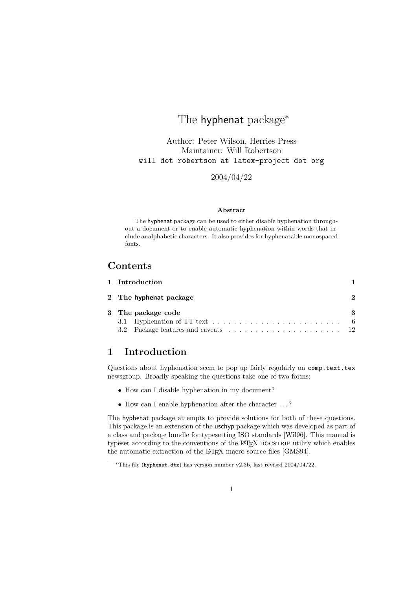# The hyphenat package<sup>\*</sup>

Author: Peter Wilson, Herries Press Maintainer: Will Robertson will dot robertson at latex-project dot org

2004/04/22

#### Abstract

The hyphenat package can be used to either disable hyphenation throughout a document or to enable automatic hyphenation within words that include analphabetic characters. It also provides for hyphenatable monospaced fonts.

# Contents

| 1 Introduction         |   |
|------------------------|---|
| 2 The hyphenat package | 2 |
| 3 The package code     | 3 |
|                        |   |
|                        |   |

# 1 Introduction

Questions about hyphenation seem to pop up fairly regularly on comp.text.tex newsgroup. Broadly speaking the questions take one of two forms:

- How can I disable hyphenation in my document?
- How can I enable hyphenation after the character . . . ?

The hyphenat package attempts to provide solutions for both of these questions. This package is an extension of the uschyp package which was developed as part of a class and package bundle for typesetting ISO standards [Wil96]. This manual is typeset according to the conventions of the LAT<sub>EX</sub> DOCSTRIP utility which enables the automatic extraction of the L<sup>A</sup>T<sub>E</sub>X macro source files [GMS94].

 $*$ This file (hyphenat.dtx) has version number v2.3b, last revised 2004/04/22.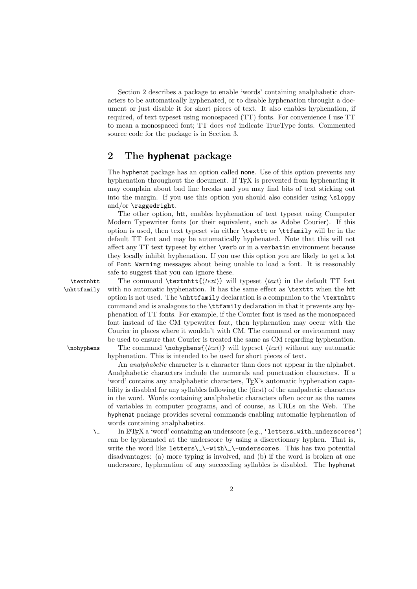Section 2 describes a package to enable 'words' containing analphabetic characters to be automatically hyphenated, or to disable hyphenation throught a document or just disable it for short pieces of text. It also enables hyphenation, if required, of text typeset using monospaced (TT) fonts. For convenience I use TT to mean a monospaced font; TT does not indicate TrueType fonts. Commented source code for the package is in Section 3.

## 2 The hyphenat package

The hyphenat package has an option called none. Use of this option prevents any hyphenation throughout the document. If T<sub>EX</sub> is prevented from hyphenating it may complain about bad line breaks and you may find bits of text sticking out into the margin. If you use this option you should also consider using \sloppy and/or  $\text{ragger}.$ 

The other option, htt, enables hyphenation of text typeset using Computer Modern Typewriter fonts (or their equivalent, such as Adobe Courier). If this option is used, then text typeset via either \texttt or \ttfamily will be in the default TT font and may be automatically hyphenated. Note that this will not affect any TT text typeset by either \verb or in a verbatim environment because they locally inhibit hyphenation. If you use this option you are likely to get a lot of Font Warning messages about being unable to load a font. It is reasonably safe to suggest that you can ignore these.

\textnhtt The command \textnhtt{ $\text{if}(text)$ } will typeset  $\text{if}(text)$  in the default TT font \nhttfamily with no automatic hyphenation. It has the same effect as \texttt when the htt option is not used. The \nhttfamily declaration is a companion to the \textnhtt command and is analagous to the \ttfamily declaration in that it prevents any hyphenation of TT fonts. For example, if the Courier font is used as the monospaced font instead of the CM typewriter font, then hyphenation may occur with the Courier in places where it wouldn't with CM. The command or environment may be used to ensure that Courier is treated the same as CM regarding hyphenation. \nohyphens The command \nohyphens{ $\text{text}$ } will typeset  $\text{text}$  without any automatic

hyphenation. This is intended to be used for short pieces of text.

An analphabetic character is a character than does not appear in the alphabet. Analphabetic characters include the numerals and punctuation characters. If a 'word' contains any analphabetic characters, TEX's automatic hyphenation capability is disabled for any syllables following the (first) of the analpabetic characters in the word. Words containing analphabetic characters often occur as the names of variables in computer programs, and of course, as URLs on the Web. The hyphenat package provides several commands enabling automatic hyphenation of words containing analphabetics.

\\_ In LATEX a 'word' containing an underscore (e.g., 'letters\_with\_underscores') can be hyphenated at the underscore by using a discretionary hyphen. That is, write the word like letters\\_\-with\\_\-underscores. This has two potential disadvantages: (a) more typing is involved, and (b) if the word is broken at one underscore, hyphenation of any succeeding syllables is disabled. The hyphenat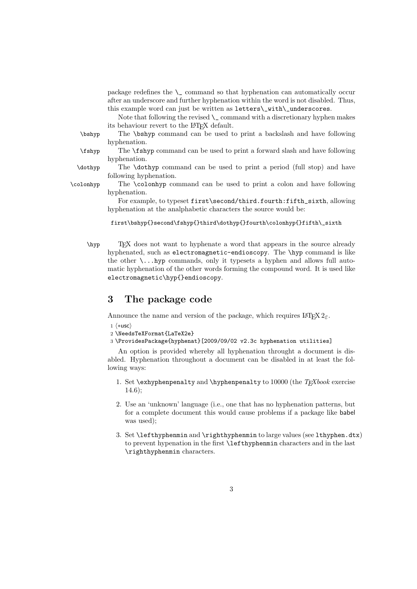package redefines the  $\angle$  command so that hyphenation can automatically occur after an underscore and further hyphenation within the word is not disabled. Thus, this example word can just be written as letters\\_with\\_underscores.

Note that following the revised  $\setminus$  command with a discretionary hyphen makes its behaviour revert to the L<sup>AT</sup>EX default.

\bshyp The \bshyp command can be used to print a backslash and have following hyphenation.

hyphenation.

\fshyp The \fshyp command can be used to print a forward slash and have following

\dothyp The \dothyp command can be used to print a period (full stop) and have

following hyphenation. \colonhyp The \colonhyp command can be used to print a colon and have following

> hyphenation. For example, to typeset first\second/third.fourth:fifth\_sixth, allowing

hyphenation at the analphabetic characters the source would be:

first\bshyp{}second\fshyp{}third\dothyp{}fourth\colonhyp{}fifth\\_sixth

\hyp TEX does not want to hyphenate a word that appears in the source already hyphenated, such as electromagnetic-endioscopy. The \hyp command is like the other  $\ldots$  hyp commands, only it typesets a hyphen and allows full automatic hyphenation of the other words forming the compound word. It is used like electromagnetic\hyp{}endioscopy.

## 3 The package code

Announce the name and version of the package, which requires  $\mathbb{F} \mathbb{F} \times \mathbb{F} \times \mathbb{F}$ 

- $1$   $\langle$ \*usc $\rangle$
- 2 \NeedsTeXFormat{LaTeX2e}
- 3 \ProvidesPackage{hyphenat}[2009/09/02 v2.3c hyphenation utilities]

An option is provided whereby all hyphenation throught a document is disabled. Hyphenation throughout a document can be disabled in at least the following ways:

- 1. Set \exhyphenpenalty and \hyphenpenalty to 10000 (the  $T_F X book$  exercise 14.6);
- 2. Use an 'unknown' language (i.e., one that has no hyphenation patterns, but for a complete document this would cause problems if a package like babel was used);
- 3. Set \lefthyphenmin and \righthyphenmin to large values (see lthyphen.dtx) to prevent hypenation in the first \lefthyphenmin characters and in the last \righthyphenmin characters.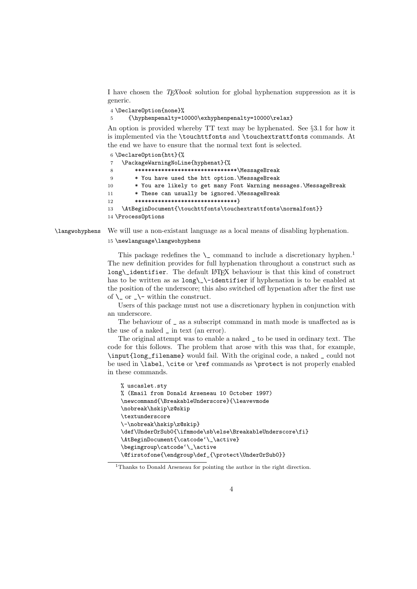I have chosen the  $TrXbook$  solution for global hyphenation suppression as it is generic.

4 \DeclareOption{none}%

5 {\hyphenpenalty=10000\exhyphenpenalty=10000\relax}

An option is provided whereby TT text may be hyphenated. See §3.1 for how it is implemented via the \touchttfonts and \touchextrattfonts commands. At the end we have to ensure that the normal text font is selected.

6 \DeclareOption{htt}{%

```
7 \PackageWarningNoLine{hyphenat}{%
8 *******************************\MessageBreak
9 * You have used the htt option.\MessageBreak
10 * You are likely to get many Font Warning messages.\MessageBreak
11 * These can usually be ignored.\MessageBreak
12 ********************************
13 \AtBeginDocument{\touchttfonts\touchextrattfonts\normalfont}}
14 \ProcessOptions
```
\langwohyphens We will use a non-existant language as a local means of disabling hyphenation.

15 \newlanguage\langwohyphens

This package redefines the  $\setminus$  command to include a discretionary hyphen.<sup>1</sup> The new definition provides for full hyphenation throughout a construct such as long\\_identifier. The default LATEX behaviour is that this kind of construct has to be written as as  $\long\_{\text{interifier if hyphenation is to be enabled at}}$ the position of the underscore; this also switched off hypenation after the first use of  $\angle$  or  $\angle$  within the construct.

Users of this package must not use a discretionary hyphen in conjunction with an underscore.

The behaviour of \_ as a subscript command in math mode is unaffected as is the use of a naked \_ in text (an error).

The original attempt was to enable a naked \_ to be used in ordinary text. The code for this follows. The problem that arose with this was that, for example, \input{long\_filename} would fail. With the original code, a naked \_ could not be used in \label, \cite or \ref commands as \protect is not properly enabled in these commands.

```
% uscaslet.sty
% (Email from Donald Arseneau 10 October 1997)
\newcommand{\BreakableUnderscore}{\leavevmode
\nobreak\hskip\z@skip
\textunderscore
\-\nobreak\hskip\z@skip}
\def\UnderOrSub0{\ifmmode\sb\else\BreakableUnderscore\fi}
\AtBeginDocument{\catcode'\_\active}
\begingroup\catcode'\_\active
\@firstofone{\endgroup\def_{\protect\UnderOrSub0}}
```
<sup>&</sup>lt;sup>1</sup>Thanks to Donald Arseneau for pointing the author in the right direction.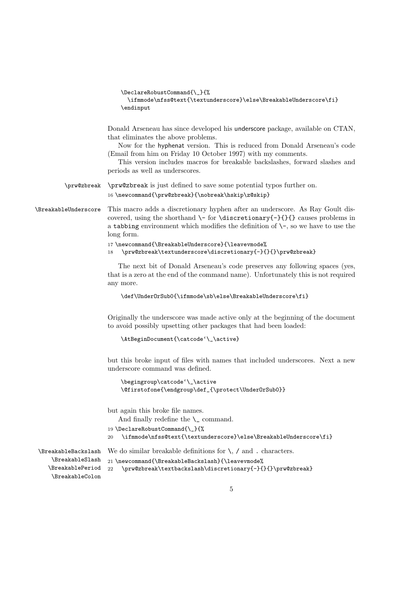```
\DeclareRobustCommand{\_}{%
  \ifmmode\nfss@text{\textunderscore}\else\BreakableUnderscore\fi}
\endinput
```
Donald Arseneau has since developed his underscore package, available on CTAN, that eliminates the above problems.

Now for the hyphenat version. This is reduced from Donald Arseneau's code (Email from him on Friday 10 October 1997) with my comments.

This version includes macros for breakable backslashes, forward slashes and periods as well as underscores.

\prw@zbreak \prw@zbreak is just defined to save some potential typos further on.

 $16 \newcommand{\prw@zbreak}{\nobreak\hskip-2pt\hskip-2pt\hskip-2pt\hskip-2pt\hskip-2pt\hskip-2pt\hskip-2pt\hskip-2pt\hskip-2pt\hskip-2pt\hskip-2pt\hskip-2pt\hskip-2pt\hskip-2pt\hskip-2pt\hskip-2pt\hskip-2pt\hskip-2pt\hskip-2pt\hskip-2pt\hskip-2pt\hskip-2pt\hskip-2pt\hskip-2pt\hskip-2pt\hskip-2pt\hskip-2pt\hskip-2pt\hskip-2pt\hskip-2pt\hskip-2pt\hskip-2pt\hskip-2pt\hskip-2pt\$ 

\BreakableUnderscore This macro adds a discretionary hyphen after an underscore. As Ray Goult discovered, using the shorthand  $\$ - for  $\dist$ -covered, using the shorthand  $\$ - for  $\dist$ -covered, using the shorthand  $\$ a tabbing environment which modifies the definition of  $\$ -, so we have to use the long form.

```
17 \newcommand{\BreakableUnderscore}{\leavevmode%
18 \quad \texttt{\textcolor{blue}{\textcolor{blue}{\textcolor{blue}{\textcolor{blue}{\textcolor{blue}{\textcolor{blue}{\textcolor{blue}{\textcolor{blue}{\textcolor{blue}{\textcolor{blue}{\textcolor{blue}{\textcolor{blue}{\textcolor{blue}{\textcolor{blue}{\textcolor{blue}{\textcolor{blue}{\textcolor{blue}{\textcolor{blue}{\textcolor{blue}{\textcolor{blue}{\textcolor{blue}{\textcolor{blue}{\textcolor{blue}{\textcolor{blue}{\textcolor{blue}{\textcolor{blue}{\textcolor{blue}{\textcolor{blue}{\textcolor{blue}{\textcolor{blue}{\textcolor{blue}{\textcolor{blue}{\textcolor{blue}{\textcolor{blue}{\textcolor{blue}{\textcolor
```
The next bit of Donald Arseneau's code preserves any following spaces (yes, that is a zero at the end of the command name). Unfortunately this is not required any more.

```
\def\UnderOrSub0{\ifmmode\sb\else\BreakableUnderscore\fi}
```
Originally the underscore was made active only at the beginning of the document to avoid possibly upsetting other packages that had been loaded:

```
\AtBeginDocument{\catcode'\_\active}
```
but this broke input of files with names that included underscores. Next a new underscore command was defined.

```
\begingroup\catcode'\_\active
\@firstofone{\endgroup\def_{\protect\UnderOrSub0}}
```
but again this broke file names.

And finally redefine the  $\mathcal{L}$  command.

```
19 \DeclareRobustCommand{\_}{%
```

```
20 \ifmmode\nfss@text{\textunderscore}\else\BreakableUnderscore\fi}
```
We do similar breakable definitions for  $\lambda$ , / and . characters.

\BreakableBackslash \BreakableSlash \BreakablePeriod \BreakableColon

```
21 \newcommand{\BreakableBackslash}{\leavevmode%
22 \prw@zbreak\textbackslash\discretionary{-}{}{}\prw@zbreak}
```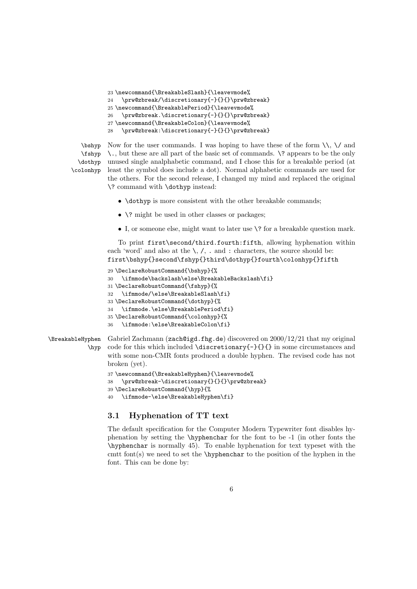```
23 \newcommand{\BreakableSlash}{\leavevmode%
24 \prw@zbreak/\discretionary{-}{}{}\prw@zbreak}
25 \newcommand{\BreakablePeriod}{\leavevmode%
    \prw@zbreak.\discretionary{-}{}{}\prw@zbreak}
27 \newcommand{\BreakableColon}{\leavevmode%
28 \prw@zbreak:\discretionary{-}{}{}\prw@zbreak}
```
\bshyp \fshyp \dothyp \colonhyp

Now for the user commands. I was hoping to have these of the form  $\setminus \setminus$  and \., but these are all part of the basic set of commands. \? appears to be the only unused single analphabetic command, and I chose this for a breakable period (at least the symbol does include a dot). Normal alphabetic commands are used for the others. For the second release, I changed my mind and replaced the original \? command with \dothyp instead:

- \dothyp is more consistent with the other breakable commands;
- \? might be used in other classes or packages;
- I, or someone else, might want to later use \? for a breakable question mark.

To print first\second/third.fourth:fifth, allowing hyphenation within each 'word' and also at the  $\setminus$ ,  $\setminus$ , . and : characters, the source should be: first\bshyp{}second\fshyp{}third\dothyp{}fourth\colonhyp{}fifth

```
29 \DeclareRobustCommand{\bshyp}{%
30 \ifmmode\backslash\else\BreakableBackslash\fi}
31 \DeclareRobustCommand{\fshyp}{%
32 \ifmmode/\else\BreakableSlash\fi}
33 \DeclareRobustCommand{\dothyp}{%
34 \ifmmode.\else\BreakablePeriod\fi}
35 \DeclareRobustCommand{\colonhyp}{%
36 \ifmmode:\else\BreakableColon\fi}
```
\BreakableHyphen \hyp Gabriel Zachmann (zach@igd.fhg.de) discovered on  $2000/12/21$  that my original code for this which included \discretionary{-}{}{} in some circumstances and with some non-CMR fonts produced a double hyphen. The revised code has not broken (yet).

```
37 \newcommand{\BreakableHyphen}{\leavevmode%
38 \prw@zbreak-\discretionary{}{}{}\prw@zbreak}
39 \DeclareRobustCommand{\hyp}{%
```
40 \ifmmode-\else\BreakableHyphen\fi}

#### 3.1 Hyphenation of TT text

The default specification for the Computer Modern Typewriter font disables hyphenation by setting the \hyphenchar for the font to be -1 (in other fonts the \hyphenchar is normally 45). To enable hyphenation for text typeset with the cmtt font(s) we need to set the \hyphenchar to the position of the hyphen in the font. This can be done by: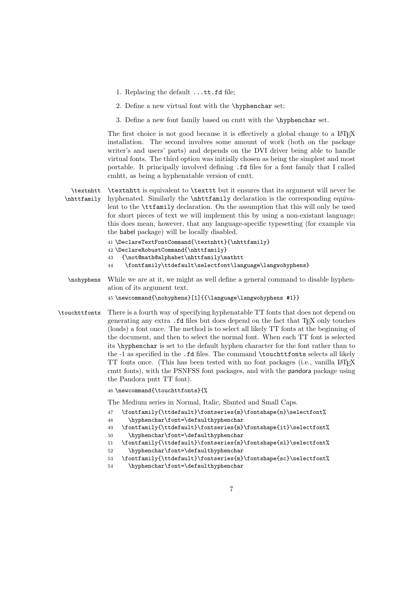- 1. Replacing the default ...tt.fd file;
- 2. Define a new virtual font with the \hyphenchar set;
- 3. Define a new font family based on cmtt with the \hyphenchar set.

The first choice is not good because it is effectively a global change to a LAT<sub>E</sub>X installation. The second involves some amount of work (both on the package writer's and users' parts) and depends on the DVI driver being able to handle virtual fonts. The third option was initially chosen as being the simplest and most portable. It principally involved defining .fd files for a font family that I called cmhtt, as being a hyphenatable version of cmtt.

\textnhtt \nhttfamily \textnhtt is equivalent to \texttt but it ensures that its argument will never be hyphenated. Similarly the \nhttfamily declaration is the corresponding equivalent to the \ttfamily declaration. On the assumption that this will only be used for short pieces of text we will implement this by using a non-existant language; this does mean, however, that any language-specific typesetting (for example via the babel package) will be locally disabled.

```
41 \DeclareTextFontCommand{\textnhtt}{\nhttfamily}
42 \DeclareRobustCommand{\nhttfamily}
43 {\not@math@alphabet\nhttfamily\mathtt
```
- 44 \fontfamily\ttdefault\selectfont\language\langwohyphens}
- \nohyphens While we are at it, we might as well define a general command to disable hyphenation of its argument text.

45 \newcommand{\nohyphens}[1]{{\language\langwohyphens #1}}

\touchttfonts There is a fourth way of specifying hyphenatable TT fonts that does not depend on generating any extra .fd files but does depend on the fact that TEX only touches (loads) a font once. The method is to select all likely TT fonts at the beginning of the document, and then to select the normal font. When each TT font is selected its \hyphenchar is set to the default hyphen character for the font rather than to the -1 as specified in the .fd files. The command \touchttfonts selects all likely TT fonts once. (This has been tested with no font packages (i.e., vanilla LATEX cmtt fonts), with the PSNFSS font packages, and with the pandora package using the Pandora pntt TT font).

46 \newcommand{\touchttfonts}{%

The Medium series in Normal, Italic, Slanted and Small Caps.

- 47 \fontfamily{\ttdefault}\fontseries{m}\fontshape{n}\selectfont%
- 48 \hyphenchar\font=\defaulthyphenchar
- 49 \fontfamily{\ttdefault}\fontseries{m}\fontshape{it}\selectfont%
- 50 \hyphenchar\font=\defaulthyphenchar
- 51 \fontfamily{\ttdefault}\fontseries{m}\fontshape{sl}\selectfont% 52 \hyphenchar\font=\defaulthyphenchar
- 53 \fontfamily{\ttdefault}\fontseries{m}\fontshape{sc}\selectfont%
- 54 \hyphenchar\font=\defaulthyphenchar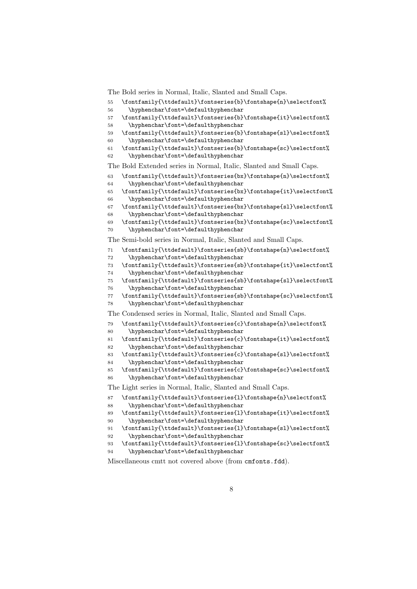The Bold series in Normal, Italic, Slanted and Small Caps.

- 55 \fontfamily{\ttdefault}\fontseries{b}\fontshape{n}\selectfont%
- \hyphenchar\font=\defaulthyphenchar
- \fontfamily{\ttdefault}\fontseries{b}\fontshape{it}\selectfont%
- \hyphenchar\font=\defaulthyphenchar
- \fontfamily{\ttdefault}\fontseries{b}\fontshape{sl}\selectfont%
- \hyphenchar\font=\defaulthyphenchar
- $61 \hspace{1em} \hspace{1em} \texttt{default}\font\texttt{default}\font\texttt{defhs} \font\texttt{def.} \selectfont\texttt{def.} \selectfont\texttt{def.}$ \hyphenchar\font=\defaulthyphenchar

The Bold Extended series in Normal, Italic, Slanted and Small Caps.

- 63 \fontfamily{\ttdefault}\fontseries{bx}\fontshape{n}\selectfont%
- \hyphenchar\font=\defaulthyphenchar

```
65 \hspace{10pt} \font family{\tt default}\font Series{\tt b} \font Shape{\tt t}\selectbreak \font {\tt b} \selectbreak66 \hyphenchar\font=\defaulthyphenchar
```

```
67 \fontfamily{\ttdefault}\fontseries{bx}\fontshape{sl}\selectfont%
```
\hyphenchar\font=\defaulthyphenchar

```
69 \fontfamily{\ttdefault}\fontseries{bx}\fontshape{sc}\selectfont%
70 \hyphenchar\font=\defaulthyphenchar
```
The Semi-bold series in Normal, Italic, Slanted and Small Caps.

- 71 \fontfamily{\ttdefault}\fontseries{sb}\fontshape{n}\selectfont%
- \hyphenchar\font=\defaulthyphenchar

```
73 \fontfamily{\ttdefault}\fontseries{sb}\fontshape{it}\selectfont%
```

```
74 \hyphenchar\font=\defaulthyphenchar
```

```
75 \fontfamily{\ttdefault}\fontseries{sb}\fontshape{sl}\selectfont%
76 \hyphenchar\font=\defaulthyphenchar
```
 \fontfamily{\ttdefault}\fontseries{sb}\fontshape{sc}\selectfont% \hyphenchar\font=\defaulthyphenchar

The Condensed series in Normal, Italic, Slanted and Small Caps.

```
79 \fontfamily{\ttdefault}\fontseries{c}\fontshape{n}\selectfont%
```

```
80 \hyphenchar\font=\defaulthyphenchar
```

```
81 \fontfamily{\ttdefault}\fontseries{c}\fontshape{it}\selectfont%
```
- \hyphenchar\font=\defaulthyphenchar
- \fontfamily{\ttdefault}\fontseries{c}\fontshape{sl}\selectfont%
- \hyphenchar\font=\defaulthyphenchar

```
85 \hspace{10pt} \font family{\tt default}\font Series{c}\font Shape{sc}\selectfont\selectfont\textbf%86 \hyphenchar\font=\defaulthyphenchar
```
The Light series in Normal, Italic, Slanted and Small Caps.

```
87 \fontfamily{\ttdefault}\fontseries{l}\fontshape{n}\selectfont%
```

```
88 \hyphenchar\font=\defaulthyphenchar
```

```
89 \fontfamily{\ttdefault}\fontseries{l}\fontshape{it}\selectfont%
```

```
90 \hyphenchar\font=\defaulthyphenchar
```

```
91 \fontfamily{\ttdefault}\fontseries{l}\fontshape{sl}\selectfont%
```

```
92 \hyphenchar\font=\defaulthyphenchar
```
 \fontfamily{\ttdefault}\fontseries{l}\fontshape{sc}\selectfont% \hyphenchar\font=\defaulthyphenchar

Miscellaneous cmtt not covered above (from cmfonts.fdd).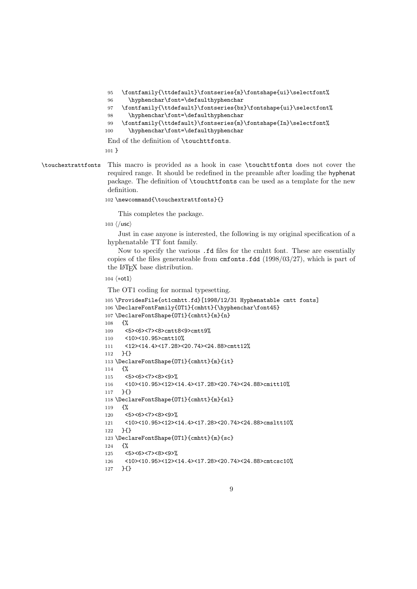```
95 \fontfamily{\ttdefault}\fontseries{m}\fontshape{ui}\selectfont%
```

```
96 \hyphenchar\font=\defaulthyphenchar
```

```
97 \fontfamily{\ttdefault}\fontseries{bx}\fontshape{ui}\selectfont%
```
- \hyphenchar\font=\defaulthyphenchar
- 99 \fontfamily{\ttdefault}\fontseries{m}\fontshape{In}\selectfont%

\hyphenchar\font=\defaulthyphenchar

End of the definition of \touchttfonts.

}

\touchextrattfonts This macro is provided as a hook in case \touchttfonts does not cover the required range. It should be redefined in the preamble after loading the hyphenat package. The definition of \touchttfonts can be used as a template for the new definition.

```
102 \newcommand{\touchextrattfonts}{}
```
This completes the package.

103  $\langle$ /usc $\rangle$ 

Just in case anyone is interested, the following is my original specification of a hyphenatable TT font family.

Now to specify the various .fd files for the cmhtt font. These are essentially copies of the files generateable from cmfonts.fdd (1998/03/27), which is part of the L<sup>AT</sup>EX base distribution.

#### 104  $\langle *ot1 \rangle$

The OT1 coding for normal typesetting.

```
105 \ProvidesFile{ot1cmhtt.fd}[1998/12/31 Hyphenatable cmtt fonts]
106 \DeclareFontFamily{OT1}{cmhtt}{\hyphenchar\font45}
107 \DeclareFontShape{OT1}{cmhtt}{m}{n}
108 {%
109 <5><6><7><8>cmtt8<9>cmtt9%
110 <10><10.95>cmtt10%
111 <12><14.4><17.28><20.74><24.88>cmtt12%
112 }{}
113 \DeclareFontShape{OT1}{cmhtt}{m}{it}
114 \frac{11}{2}115 <5><6><7><8><9>%
116 <10><10.95><12><14.4><17.28><20.74><24.88>cmitt10%
117 }{}
118 \DeclareFontShape{OT1}{cmhtt}{m}{sl}
119 {%
120 <5><6><7><8><9>%
121 <10><10.95><12><14.4><17.28><20.74><24.88>cmsltt10%
122 }{}
123 \DeclareFontShape{OT1}{cmhtt}{m}{sc}
124 \frac{\text{Y}}{\text{S}}125 <5><6><7><8><9>%
126 <10><10.95><12><14.4><17.28><20.74><24.88>cmtcsc10%
```

```
127 }{}
```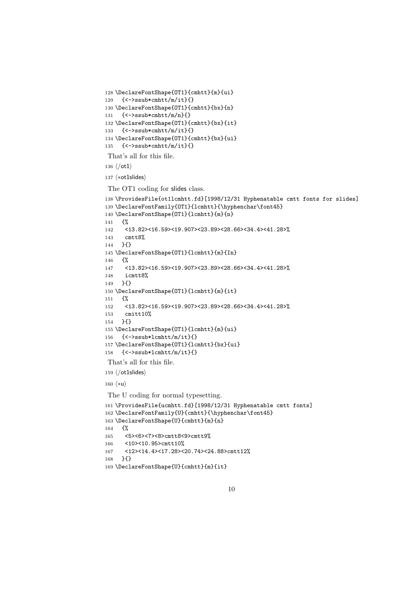```
128 \DeclareFontShape{OT1}{cmhtt}{m}{ui}
129 {<->ssub*cmhtt/m/it}{}
130 \DeclareFontShape{OT1}{cmhtt}{bx}{n}
131 {<->ssub*cmhtt/m/n}{}
132 \DeclareFontShape{OT1}{cmhtt}{bx}{it}
133 {<->ssub*cmhtt/m/it}{}
134 \DeclareFontShape{OT1}{cmhtt}{bx}{ui}
135 {<->ssub*cmhtt/m/it}{}
That's all for this file.
136 \langle \rangleot1\rangle137 (*ot1slides)
The OT1 coding for slides class.
138 \ProvidesFile{ot1lcmhtt.fd}[1998/12/31 Hyphenatable cmtt fonts for slides]
139 \DeclareFontFamily{OT1}{lcmhtt}{\hyphenchar\font45}
140 \DeclareFontShape{OT1}{lcmhtt}{m}{n}
141 {%
142 <13.82><16.59><19.907><23.89><28.66><34.4><41.28>%
143 cmtt8%
144 }{}
145 \DeclareFontShape{OT1}{lcmhtt}{m}{In}
146 {%
147 <13.82><16.59><19.907><23.89><28.66><34.4><41.28>%
148 icmtt8%
149 }{}
150 \DeclareFontShape{OT1}{lcmhtt}{m}{it}
151 {%
152 <13.82><16.59><19.907><23.89><28.66><34.4><41.28>%
153 cmitt10%
154 }{}
155 \DeclareFontShape{OT1}{lcmhtt}{m}{ui}
156 {<->ssub*lcmhtt/m/it}{}
157 \DeclareFontShape{OT1}{lcmhtt}{bx}{ui}
158 {<->ssub*lcmhtt/m/it}{}
That's all for this file.
159 (/ot1slides)
160 \langle *u \rangleThe U coding for normal typesetting.
161 \ProvidesFile{ucmhtt.fd}[1998/12/31 Hyphenatable cmtt fonts]
162 \DeclareFontFamily{U}{cmhtt}{\hyphenchar\font45}
163 \DeclareFontShape{U}{cmhtt}{m}{n}
164 {%
165 <5><6><7><8>cmtt8<9>cmtt9%
166 <10><10.95>cmtt10%
167 <12><14.4><17.28><20.74><24.88>cmtt12%
168 }{}
```

```
169 \DeclareFontShape{U}{cmhtt}{m}{it}
```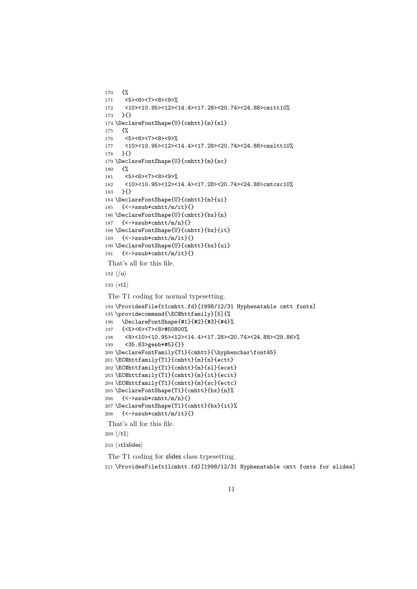```
170 {%
171 <5><6><7><8><9>%
172 <10><10.95><12><14.4><17.28><20.74><24.88>cmitt10%
173 }{}
174 \DeclareFontShape{U}{cmhtt}{m}{sl}
175 {%
176 <5><6><7><8><9>%
177 <10><10.95><12><14.4><17.28><20.74><24.88>cmsltt10%
178 }{}
179 \DeclareFontShape{U}{cmhtt}{m}{sc}
180 {%
181 <5><6><7><8><9>%
182 <10><10.95><12><14.4><17.28><20.74><24.88>cmtcsc10%
183 }{}
184 \DeclareFontShape{U}{cmhtt}{m}{ui}
185 {<->ssub*cmhtt/m/it}{}
186 \DeclareFontShape{U}{cmhtt}{bx}{n}
187 {<->ssub*cmhtt/m/n}{}
188 \DeclareFontShape{U}{cmhtt}{bx}{it}
189 {<->ssub*cmhtt/m/it}{}
190 \DeclareFontShape{U}{cmhtt}{bx}{ui}
191 {<->ssub*cmhtt/m/it}{}
That's all for this file.
192 \langle/u\rangle193 \langle *t1 \rangleThe T1 coding for normal typesetting.
194 \ProvidesFile{t1cmhtt.fd}[1998/12/31 Hyphenatable cmtt fonts]
195 \providecommand{\EC@httfamily}[5]{%
196 \DeclareFontShape{#1}{#2}{#3}{#4}%
197 {<5><6><7><8>#50800%
198 <9><10><10.95><12><14.4><17.28><20.74><24.88><29.86>%
199 <35.83>genb*#5}{}}
200 \DeclareFontFamily{T1}{cmhtt}{\hyphenchar\font45}
201 \EC@httfamily{T1}{cmhtt}{m}{n}{ectt}
202 \EC@httfamily{T1}{cmhtt}{m}{sl}{ecst}
203 \EC@httfamily{T1}{cmhtt}{m}{it}{ecit}
204 \EC@httfamily{T1}{cmhtt}{m}{sc}{ectc}
205 \DeclareFontShape{T1}{cmhtt}{bx}{n}%
206 {<->ssub*cmhtt/m/n}{}
207 \DeclareFontShape{T1}{cmhtt}{bx}{it}%
208 {<->ssub*cmhtt/m/it}{}
That's all for this file.
209 \; \langle /t1 \rangle210 \langle *t1s \rangle
```
The T1 coding for slides class typesetting. \ProvidesFile{t1lcmhtt.fd}[1998/12/31 Hyphenatable cmtt fonts for slides]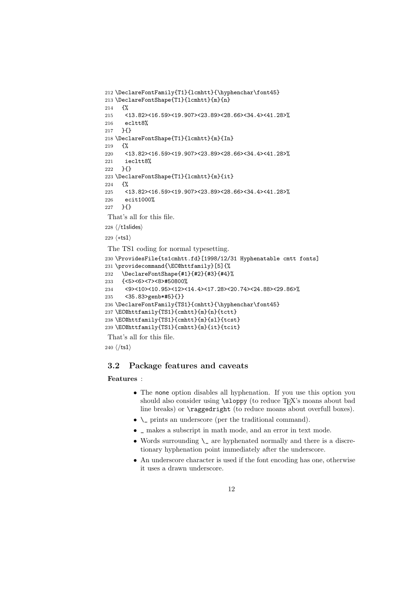```
212 \DeclareFontFamily{T1}{lcmhtt}{\hyphenchar\font45}
213 \DeclareFontShape{T1}{lcmhtt}{m}{n}
214 \frac{12}{10}215 <13.82><16.59><19.907><23.89><28.66><34.4><41.28>%
216 ecltt8%
217 }{}
218 \DeclareFontShape{T1}{lcmhtt}{m}{In}
219 \frac{1}{2}220 <13.82><16.59><19.907><23.89><28.66><34.4><41.28>%
221 iecltt8%
222 }{}
223 \DeclareFontShape{T1}{lcmhtt}{m}{it}
224 \frac{1}{6}225 <13.82><16.59><19.907><23.89><28.66><34.4><41.28>%
226 ecit1000%
227 }{}
That's all for this file.
228 \langle/t1slides)
229 \langle *ts1 \rangleThe TS1 coding for normal typesetting.
230 \ProvidesFile{ts1cmhtt.fd}[1998/12/31 Hyphenatable cmtt fonts]
231 \providecommand{\EC@httfamily}[5]{%
232 \DeclareFontShape{#1}{#2}{#3}{#4}%
233 {<5><6><7><8>#50800%
234 <9><10><10.95><12><14.4><17.28><20.74><24.88><29.86>%
```

```
235 <35.83>genb*#5}{}}
```

```
236 \DeclareFontFamily{TS1}{cmhtt}{\hyphenchar\font45}
```

```
237 \EC@httfamily{TS1}{cmhtt}{m}{n}{tctt}
238 \EC@httfamily{TS1}{cmhtt}{m}{sl}{tcst}
```

```
239 \EC@httfamily{TS1}{cmhtt}{m}{it}{tcit}
```
That's all for this file.

240  $\langle$ /ts1 $\rangle$ 

### 3.2 Package features and caveats

#### Features :

- The none option disables all hyphenation. If you use this option you should also consider using  $\simeq$  (to reduce T<sub>E</sub>X's moans about bad line breaks) or \raggedright (to reduce moans about overfull boxes).
- \\_ prints an underscore (per the traditional command).
- \_ makes a subscript in math mode, and an error in text mode.
- Words surrounding  $\setminus$  are hyphenated normally and there is a discretionary hyphenation point immediately after the underscore.
- An underscore character is used if the font encoding has one, otherwise it uses a drawn underscore.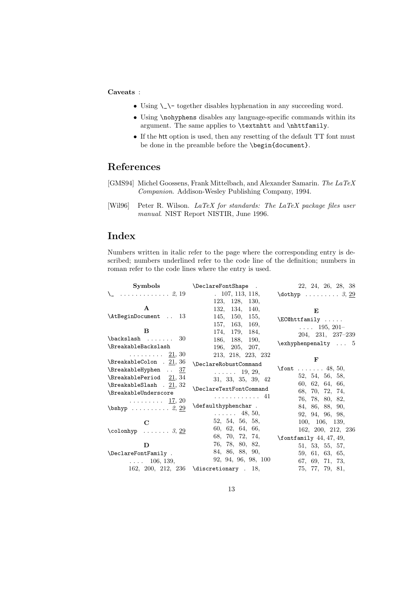#### Caveats :

- Using  $\setminus$   $\setminus$  together disables hyphenation in any succeeding word.
- Using \nohyphens disables any language-specific commands within its argument. The same applies to \textnhtt and \nhttfamily.
- If the htt option is used, then any resetting of the default TT font must be done in the preamble before the \begin{document}.

# References

- [GMS94] Michel Goossens, Frank Mittelbach, and Alexander Samarin. The LaTeX Companion. Addison-Wesley Publishing Company, 1994.
- [Wil96] Peter R. Wilson. LaTeX for standards: The LaTeX package files user manual. NIST Report NISTIR, June 1996.

# Index

Numbers written in italic refer to the page where the corresponding entry is described; numbers underlined refer to the code line of the definition; numbers in roman refer to the code lines where the entry is used.

| $\boldsymbol{\mathrm{Symbols}}$             | \DeclareFontShape .     | 22, 24, 26, 28, 38                 |
|---------------------------------------------|-------------------------|------------------------------------|
| $\setminus$ 2, 19                           | 107, 113, 118,          | $\dot{b}$ $3, 29$                  |
|                                             | 123, 128, 130,          |                                    |
| $\mathbf{A}$                                | 132, 134, 140,          | E                                  |
| \AtBeginDocument  13                        | 145, 150, 155,          | $\ECO$ httfamily                   |
|                                             | 157, 163,<br>169,       | $\ldots$ 195, 201-                 |
| B                                           | 174, 179, 184,          | 204, 231, 237-239                  |
| $\backslash$ backslash  30                  | 186, 188,<br>190,       | $\exp\{t\}$ 5                      |
| <b>\BreakableBackslash</b>                  | 196, 205, 207,          |                                    |
| $\ldots \ldots \ldots 21, 30$               | 213, 218, 223, 232      | $\mathbf{F}$                       |
| \BreakableColon . 21, 36                    | \DeclareRobustCommand   |                                    |
| $\text{BreakableHyphen} \dots \frac{37}{2}$ | $\ldots \ldots 19, 29,$ | \font  48, 50,                     |
| \BreakablePeriod 21, 34                     | 31, 33, 35, 39, 42      | 52, 54, 56, 58,                    |
| \BreakableSlash . 21, 32                    | \DeclareTextFontCommand | 60, 62, 64, 66,                    |
| <b>\BreakableUnderscore</b>                 | . 41                    | 68, 70, 72, 74,                    |
| $\ldots \ldots \ldots 17, 20$               | \defaulthyphenchar.     | 76, 78, 80, 82,<br>84, 86, 88, 90, |
| $\bshyp$ 2, 29                              | $\ldots \ldots 48, 50,$ | 92, 94, 96, 98,                    |
|                                             | 52, 54, 56, 58,         | 100, 106, 139,                     |
| $\mathbf C$                                 | 60, 62, 64, 66,         | 162, 200, 212, 236                 |
| \colonhyp $3, 29$                           | 68, 70, 72, 74,         |                                    |
| D                                           | 76, 78, 80, 82,         | $\forall$ fontfamily 44, 47, 49,   |
| \DeclareFontFamily .                        | 84, 86, 88, 90,         | 51, 53, 55, 57,                    |
| $\ldots$ 106, 139,                          | 92, 94, 96, 98, 100     | 59, 61, 63, 65,<br>67, 69, 71, 73, |
| 162, 200, 212, 236                          | \discretionary . 18,    | 75, 77, 79, 81,                    |
|                                             |                         |                                    |